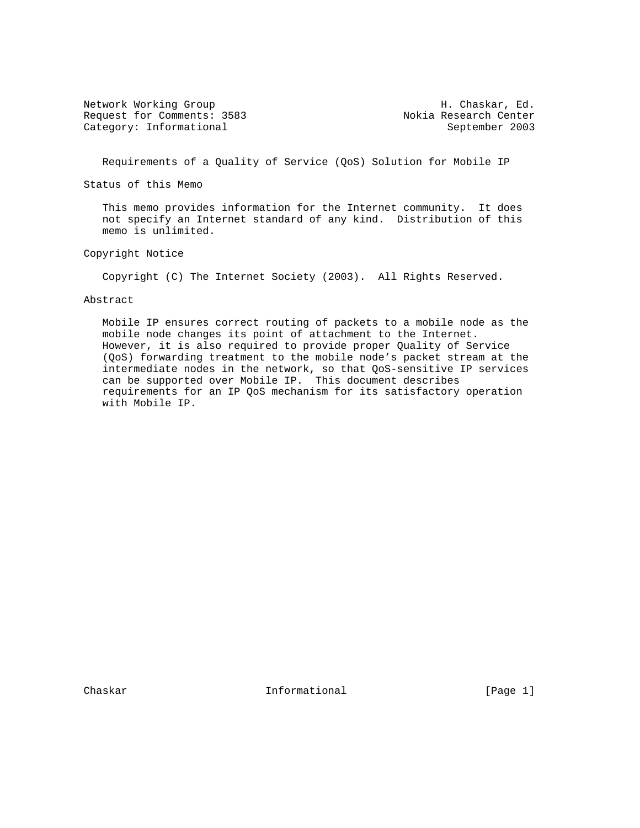Network Working Group **H. Chaskar, Ed.** Request for Comments: 3583 Nokia Research Center Category: Informational September 2003

Requirements of a Quality of Service (QoS) Solution for Mobile IP

Status of this Memo

 This memo provides information for the Internet community. It does not specify an Internet standard of any kind. Distribution of this memo is unlimited.

Copyright Notice

Copyright (C) The Internet Society (2003). All Rights Reserved.

#### Abstract

 Mobile IP ensures correct routing of packets to a mobile node as the mobile node changes its point of attachment to the Internet. However, it is also required to provide proper Quality of Service (QoS) forwarding treatment to the mobile node's packet stream at the intermediate nodes in the network, so that QoS-sensitive IP services can be supported over Mobile IP. This document describes requirements for an IP QoS mechanism for its satisfactory operation with Mobile IP.

Chaskar **Informational** Informational [Page 1]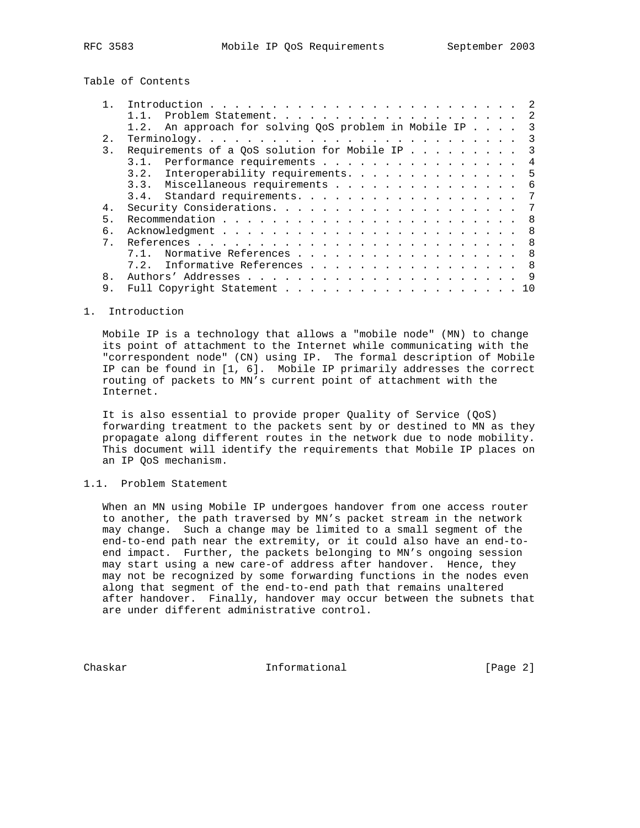Table of Contents

|                  | Problem Statement. 2                                                    |
|------------------|-------------------------------------------------------------------------|
|                  | 1.2. An approach for solving QoS problem in Mobile IP 3                 |
| 2.               | $\overline{\phantom{a}3}$                                               |
| $\overline{3}$ . | Requirements of a QoS solution for Mobile IP<br>$\overline{\mathbf{3}}$ |
|                  | 3.1. Performance requirements<br>$\overline{4}$                         |
|                  | 3.2. Interoperability requirements. 5                                   |
|                  | 3.3. Miscellaneous requirements 6                                       |
|                  | 3.4. Standard requirements.<br>7                                        |
| 4.               | -7                                                                      |
| 5.               |                                                                         |
| б.               |                                                                         |
| 7 <sub>1</sub>   |                                                                         |
|                  | Normative References 8                                                  |
|                  | 7.2. Informative References 8                                           |
| 8.               | 9                                                                       |
| 9.               | 10                                                                      |

#### 1. Introduction

 Mobile IP is a technology that allows a "mobile node" (MN) to change its point of attachment to the Internet while communicating with the "correspondent node" (CN) using IP. The formal description of Mobile IP can be found in [1, 6]. Mobile IP primarily addresses the correct routing of packets to MN's current point of attachment with the Internet.

 It is also essential to provide proper Quality of Service (QoS) forwarding treatment to the packets sent by or destined to MN as they propagate along different routes in the network due to node mobility. This document will identify the requirements that Mobile IP places on an IP QoS mechanism.

## 1.1. Problem Statement

 When an MN using Mobile IP undergoes handover from one access router to another, the path traversed by MN's packet stream in the network may change. Such a change may be limited to a small segment of the end-to-end path near the extremity, or it could also have an end-to end impact. Further, the packets belonging to MN's ongoing session may start using a new care-of address after handover. Hence, they may not be recognized by some forwarding functions in the nodes even along that segment of the end-to-end path that remains unaltered after handover. Finally, handover may occur between the subnets that are under different administrative control.

Chaskar **Informational** Informational [Page 2]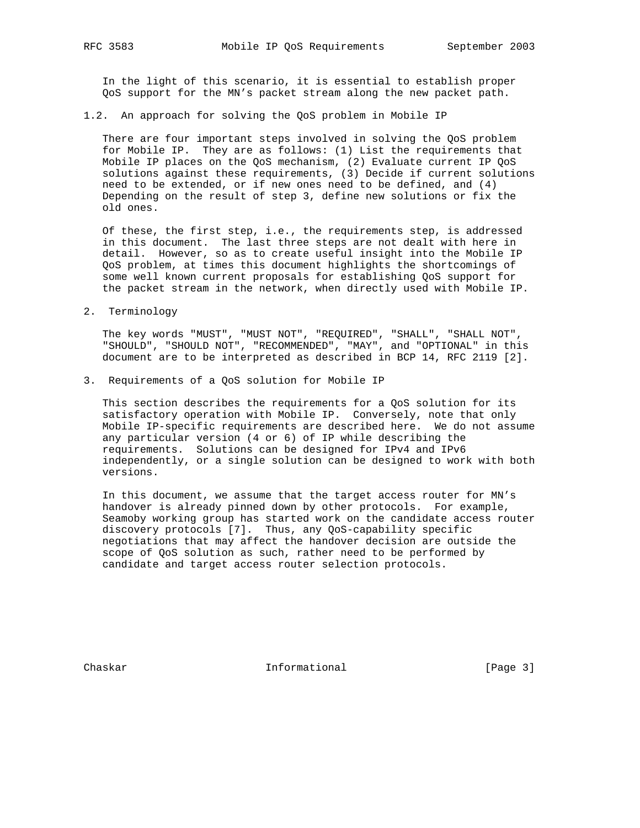In the light of this scenario, it is essential to establish proper QoS support for the MN's packet stream along the new packet path.

1.2. An approach for solving the QoS problem in Mobile IP

 There are four important steps involved in solving the QoS problem for Mobile IP. They are as follows: (1) List the requirements that Mobile IP places on the QoS mechanism, (2) Evaluate current IP QoS solutions against these requirements, (3) Decide if current solutions need to be extended, or if new ones need to be defined, and (4) Depending on the result of step 3, define new solutions or fix the old ones.

 Of these, the first step, i.e., the requirements step, is addressed in this document. The last three steps are not dealt with here in detail. However, so as to create useful insight into the Mobile IP QoS problem, at times this document highlights the shortcomings of some well known current proposals for establishing QoS support for the packet stream in the network, when directly used with Mobile IP.

2. Terminology

 The key words "MUST", "MUST NOT", "REQUIRED", "SHALL", "SHALL NOT", "SHOULD", "SHOULD NOT", "RECOMMENDED", "MAY", and "OPTIONAL" in this document are to be interpreted as described in BCP 14, RFC 2119 [2].

3. Requirements of a QoS solution for Mobile IP

 This section describes the requirements for a QoS solution for its satisfactory operation with Mobile IP. Conversely, note that only Mobile IP-specific requirements are described here. We do not assume any particular version (4 or 6) of IP while describing the requirements. Solutions can be designed for IPv4 and IPv6 independently, or a single solution can be designed to work with both versions.

 In this document, we assume that the target access router for MN's handover is already pinned down by other protocols. For example, Seamoby working group has started work on the candidate access router discovery protocols [7]. Thus, any QoS-capability specific negotiations that may affect the handover decision are outside the scope of QoS solution as such, rather need to be performed by candidate and target access router selection protocols.

Chaskar **Informational** Informational [Page 3]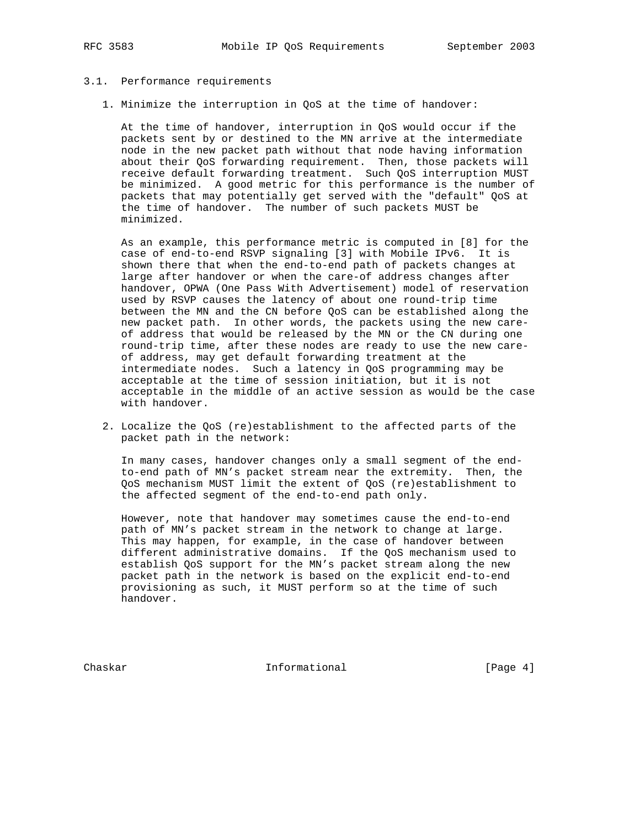# 3.1. Performance requirements

1. Minimize the interruption in QoS at the time of handover:

 At the time of handover, interruption in QoS would occur if the packets sent by or destined to the MN arrive at the intermediate node in the new packet path without that node having information about their QoS forwarding requirement. Then, those packets will receive default forwarding treatment. Such QoS interruption MUST be minimized. A good metric for this performance is the number of packets that may potentially get served with the "default" QoS at the time of handover. The number of such packets MUST be minimized.

 As an example, this performance metric is computed in [8] for the case of end-to-end RSVP signaling [3] with Mobile IPv6. It is shown there that when the end-to-end path of packets changes at large after handover or when the care-of address changes after handover, OPWA (One Pass With Advertisement) model of reservation used by RSVP causes the latency of about one round-trip time between the MN and the CN before QoS can be established along the new packet path. In other words, the packets using the new care of address that would be released by the MN or the CN during one round-trip time, after these nodes are ready to use the new care of address, may get default forwarding treatment at the intermediate nodes. Such a latency in QoS programming may be acceptable at the time of session initiation, but it is not acceptable in the middle of an active session as would be the case with handover.

 2. Localize the QoS (re)establishment to the affected parts of the packet path in the network:

 In many cases, handover changes only a small segment of the end to-end path of MN's packet stream near the extremity. Then, the QoS mechanism MUST limit the extent of QoS (re)establishment to the affected segment of the end-to-end path only.

 However, note that handover may sometimes cause the end-to-end path of MN's packet stream in the network to change at large. This may happen, for example, in the case of handover between different administrative domains. If the QoS mechanism used to establish QoS support for the MN's packet stream along the new packet path in the network is based on the explicit end-to-end provisioning as such, it MUST perform so at the time of such handover.

Chaskar **Informational** Informational [Page 4]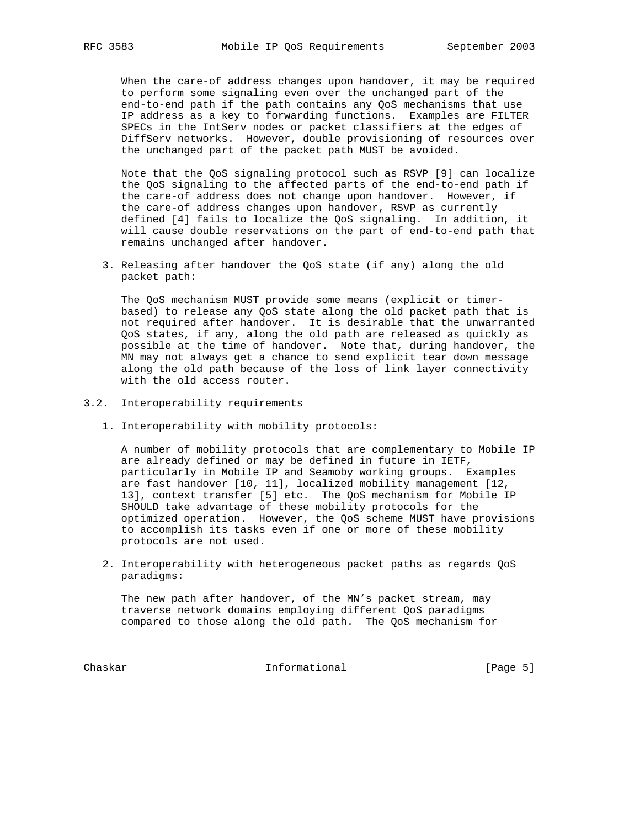When the care-of address changes upon handover, it may be required to perform some signaling even over the unchanged part of the end-to-end path if the path contains any QoS mechanisms that use IP address as a key to forwarding functions. Examples are FILTER SPECs in the IntServ nodes or packet classifiers at the edges of DiffServ networks. However, double provisioning of resources over the unchanged part of the packet path MUST be avoided.

 Note that the QoS signaling protocol such as RSVP [9] can localize the QoS signaling to the affected parts of the end-to-end path if the care-of address does not change upon handover. However, if the care-of address changes upon handover, RSVP as currently defined [4] fails to localize the QoS signaling. In addition, it will cause double reservations on the part of end-to-end path that remains unchanged after handover.

 3. Releasing after handover the QoS state (if any) along the old packet path:

 The QoS mechanism MUST provide some means (explicit or timer based) to release any QoS state along the old packet path that is not required after handover. It is desirable that the unwarranted QoS states, if any, along the old path are released as quickly as possible at the time of handover. Note that, during handover, the MN may not always get a chance to send explicit tear down message along the old path because of the loss of link layer connectivity with the old access router.

- 3.2. Interoperability requirements
	- 1. Interoperability with mobility protocols:

 A number of mobility protocols that are complementary to Mobile IP are already defined or may be defined in future in IETF, particularly in Mobile IP and Seamoby working groups. Examples are fast handover [10, 11], localized mobility management [12, 13], context transfer [5] etc. The QoS mechanism for Mobile IP SHOULD take advantage of these mobility protocols for the optimized operation. However, the QoS scheme MUST have provisions to accomplish its tasks even if one or more of these mobility protocols are not used.

 2. Interoperability with heterogeneous packet paths as regards QoS paradigms:

 The new path after handover, of the MN's packet stream, may traverse network domains employing different QoS paradigms compared to those along the old path. The QoS mechanism for

Chaskar Informational [Page 5]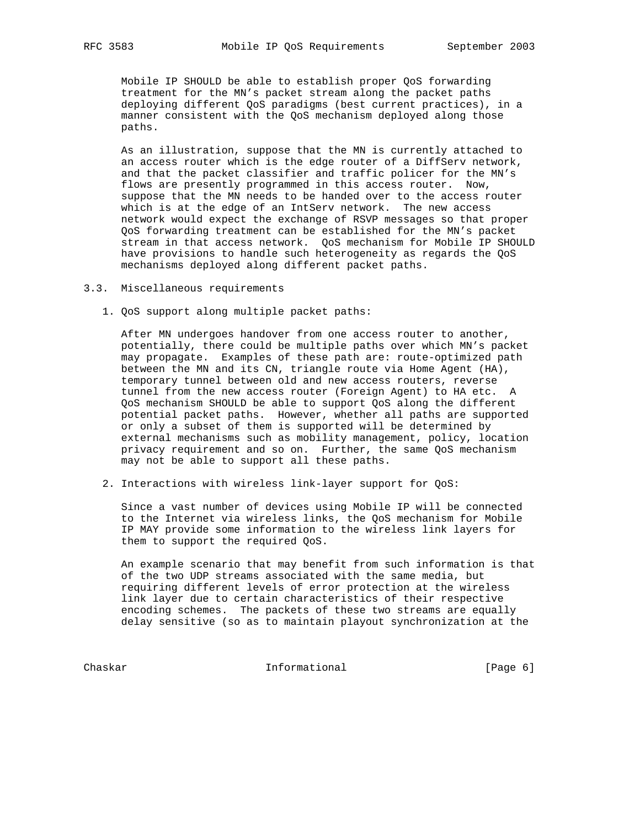Mobile IP SHOULD be able to establish proper QoS forwarding treatment for the MN's packet stream along the packet paths deploying different QoS paradigms (best current practices), in a manner consistent with the QoS mechanism deployed along those paths.

 As an illustration, suppose that the MN is currently attached to an access router which is the edge router of a DiffServ network, and that the packet classifier and traffic policer for the MN's flows are presently programmed in this access router. Now, suppose that the MN needs to be handed over to the access router which is at the edge of an IntServ network. The new access network would expect the exchange of RSVP messages so that proper QoS forwarding treatment can be established for the MN's packet stream in that access network. QoS mechanism for Mobile IP SHOULD have provisions to handle such heterogeneity as regards the QoS mechanisms deployed along different packet paths.

### 3.3. Miscellaneous requirements

1. QoS support along multiple packet paths:

 After MN undergoes handover from one access router to another, potentially, there could be multiple paths over which MN's packet may propagate. Examples of these path are: route-optimized path between the MN and its CN, triangle route via Home Agent (HA), temporary tunnel between old and new access routers, reverse tunnel from the new access router (Foreign Agent) to HA etc. A QoS mechanism SHOULD be able to support QoS along the different potential packet paths. However, whether all paths are supported or only a subset of them is supported will be determined by external mechanisms such as mobility management, policy, location privacy requirement and so on. Further, the same QoS mechanism may not be able to support all these paths.

2. Interactions with wireless link-layer support for QoS:

 Since a vast number of devices using Mobile IP will be connected to the Internet via wireless links, the QoS mechanism for Mobile IP MAY provide some information to the wireless link layers for them to support the required QoS.

 An example scenario that may benefit from such information is that of the two UDP streams associated with the same media, but requiring different levels of error protection at the wireless link layer due to certain characteristics of their respective encoding schemes. The packets of these two streams are equally delay sensitive (so as to maintain playout synchronization at the

Chaskar Informational [Page 6]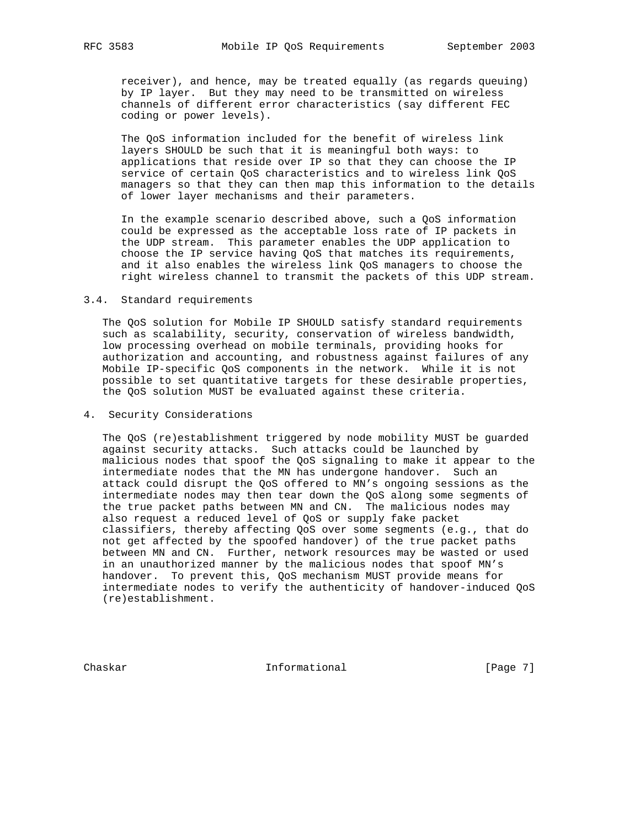receiver), and hence, may be treated equally (as regards queuing) by IP layer. But they may need to be transmitted on wireless channels of different error characteristics (say different FEC coding or power levels).

 The QoS information included for the benefit of wireless link layers SHOULD be such that it is meaningful both ways: to applications that reside over IP so that they can choose the IP service of certain QoS characteristics and to wireless link QoS managers so that they can then map this information to the details of lower layer mechanisms and their parameters.

 In the example scenario described above, such a QoS information could be expressed as the acceptable loss rate of IP packets in the UDP stream. This parameter enables the UDP application to choose the IP service having QoS that matches its requirements, and it also enables the wireless link QoS managers to choose the right wireless channel to transmit the packets of this UDP stream.

#### 3.4. Standard requirements

 The QoS solution for Mobile IP SHOULD satisfy standard requirements such as scalability, security, conservation of wireless bandwidth, low processing overhead on mobile terminals, providing hooks for authorization and accounting, and robustness against failures of any Mobile IP-specific QoS components in the network. While it is not possible to set quantitative targets for these desirable properties, the QoS solution MUST be evaluated against these criteria.

## 4. Security Considerations

 The QoS (re)establishment triggered by node mobility MUST be guarded against security attacks. Such attacks could be launched by malicious nodes that spoof the QoS signaling to make it appear to the intermediate nodes that the MN has undergone handover. Such an attack could disrupt the QoS offered to MN's ongoing sessions as the intermediate nodes may then tear down the QoS along some segments of the true packet paths between MN and CN. The malicious nodes may also request a reduced level of QoS or supply fake packet classifiers, thereby affecting QoS over some segments (e.g., that do not get affected by the spoofed handover) of the true packet paths between MN and CN. Further, network resources may be wasted or used in an unauthorized manner by the malicious nodes that spoof MN's handover. To prevent this, QoS mechanism MUST provide means for intermediate nodes to verify the authenticity of handover-induced QoS (re)establishment.

Chaskar Informational [Page 7]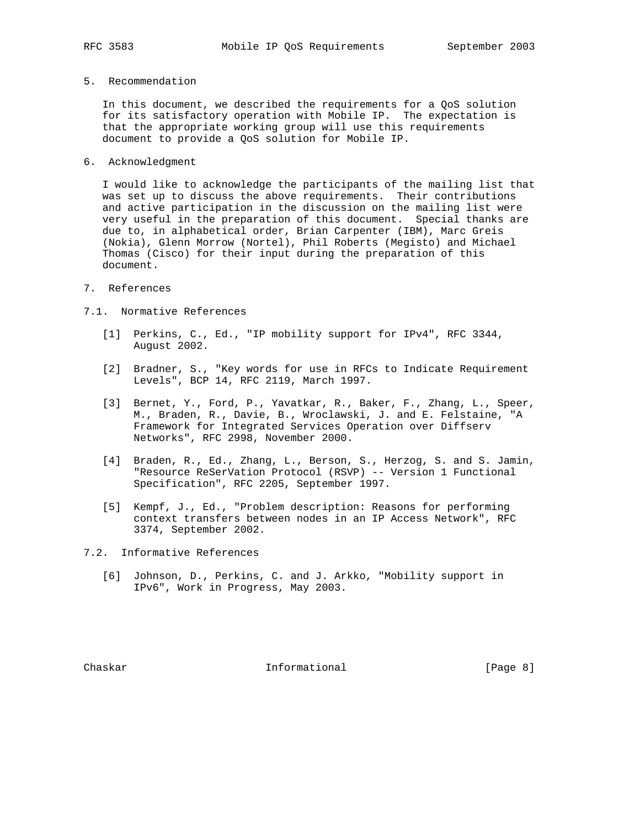5. Recommendation

 In this document, we described the requirements for a QoS solution for its satisfactory operation with Mobile IP. The expectation is that the appropriate working group will use this requirements document to provide a QoS solution for Mobile IP.

6. Acknowledgment

 I would like to acknowledge the participants of the mailing list that was set up to discuss the above requirements. Their contributions and active participation in the discussion on the mailing list were very useful in the preparation of this document. Special thanks are due to, in alphabetical order, Brian Carpenter (IBM), Marc Greis (Nokia), Glenn Morrow (Nortel), Phil Roberts (Megisto) and Michael Thomas (Cisco) for their input during the preparation of this document.

- 7. References
- 7.1. Normative References
	- [1] Perkins, C., Ed., "IP mobility support for IPv4", RFC 3344, August 2002.
	- [2] Bradner, S., "Key words for use in RFCs to Indicate Requirement Levels", BCP 14, RFC 2119, March 1997.
	- [3] Bernet, Y., Ford, P., Yavatkar, R., Baker, F., Zhang, L., Speer, M., Braden, R., Davie, B., Wroclawski, J. and E. Felstaine, "A Framework for Integrated Services Operation over Diffserv Networks", RFC 2998, November 2000.
	- [4] Braden, R., Ed., Zhang, L., Berson, S., Herzog, S. and S. Jamin, "Resource ReSerVation Protocol (RSVP) -- Version 1 Functional Specification", RFC 2205, September 1997.
	- [5] Kempf, J., Ed., "Problem description: Reasons for performing context transfers between nodes in an IP Access Network", RFC 3374, September 2002.
- 7.2. Informative References
	- [6] Johnson, D., Perkins, C. and J. Arkko, "Mobility support in IPv6", Work in Progress, May 2003.

Chaskar **Informational** Informational [Page 8]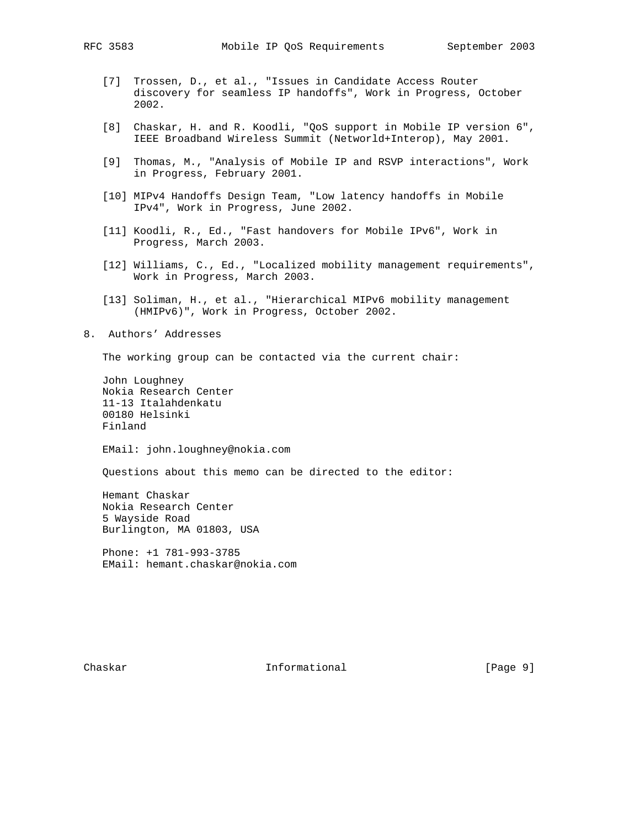- [7] Trossen, D., et al., "Issues in Candidate Access Router discovery for seamless IP handoffs", Work in Progress, October 2002.
- [8] Chaskar, H. and R. Koodli, "QoS support in Mobile IP version 6", IEEE Broadband Wireless Summit (Networld+Interop), May 2001.
- [9] Thomas, M., "Analysis of Mobile IP and RSVP interactions", Work in Progress, February 2001.
- [10] MIPv4 Handoffs Design Team, "Low latency handoffs in Mobile IPv4", Work in Progress, June 2002.
- [11] Koodli, R., Ed., "Fast handovers for Mobile IPv6", Work in Progress, March 2003.
- [12] Williams, C., Ed., "Localized mobility management requirements", Work in Progress, March 2003.
- [13] Soliman, H., et al., "Hierarchical MIPv6 mobility management (HMIPv6)", Work in Progress, October 2002.
- 8. Authors' Addresses

The working group can be contacted via the current chair:

 John Loughney Nokia Research Center 11-13 Italahdenkatu 00180 Helsinki Finland

EMail: john.loughney@nokia.com

Questions about this memo can be directed to the editor:

 Hemant Chaskar Nokia Research Center 5 Wayside Road Burlington, MA 01803, USA

 Phone: +1 781-993-3785 EMail: hemant.chaskar@nokia.com

Chaskar **Informational** Informational [Page 9]